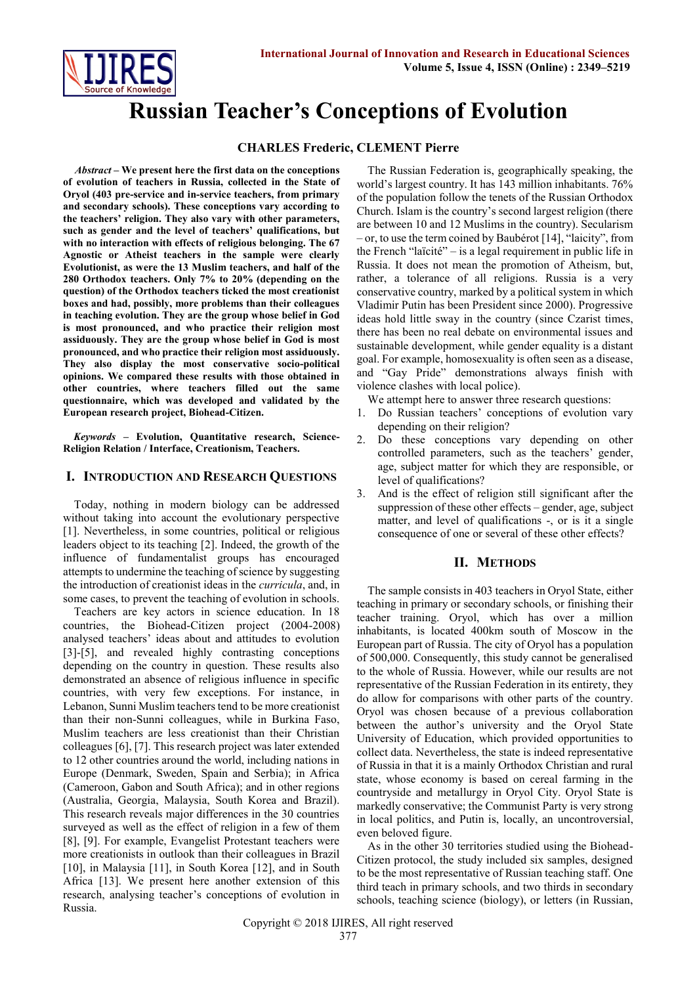

# **Russian Teacher's Conceptions of Evolution**

# **CHARLES Frederic, CLEMENT Pierre**

*Abstract* **– We present here the first data on the conceptions of evolution of teachers in Russia, collected in the State of Oryol (403 pre-service and in-service teachers, from primary and secondary schools). These conceptions vary according to the teachers' religion. They also vary with other parameters, such as gender and the level of teachers' qualifications, but with no interaction with effects of religious belonging. The 67 Agnostic or Atheist teachers in the sample were clearly Evolutionist, as were the 13 Muslim teachers, and half of the 280 Orthodox teachers. Only 7% to 20% (depending on the question) of the Orthodox teachers ticked the most creationist boxes and had, possibly, more problems than their colleagues in teaching evolution. They are the group whose belief in God is most pronounced, and who practice their religion most assiduously. They are the group whose belief in God is most pronounced, and who practice their religion most assiduously. They also display the most conservative socio-political opinions. We compared these results with those obtained in other countries, where teachers filled out the same questionnaire, which was developed and validated by the European research project, Biohead-Citizen.**

*Keywords* **– Evolution, Quantitative research, Science-Religion Relation / Interface, Creationism, Teachers.**

## **I. INTRODUCTION AND RESEARCH QUESTIONS**

Today, nothing in modern biology can be addressed without taking into account the evolutionary perspective [1]. Nevertheless, in some countries, political or religious leaders object to its teaching [2]. Indeed, the growth of the influence of fundamentalist groups has encouraged attempts to undermine the teaching of science by suggesting the introduction of creationist ideas in the *curricula*, and, in some cases, to prevent the teaching of evolution in schools.

Teachers are key actors in science education. In 18 countries, the Biohead-Citizen project (2004-2008) analysed teachers' ideas about and attitudes to evolution [3]-[5], and revealed highly contrasting conceptions depending on the country in question. These results also demonstrated an absence of religious influence in specific countries, with very few exceptions. For instance, in Lebanon, Sunni Muslim teachers tend to be more creationist than their non-Sunni colleagues, while in Burkina Faso, Muslim teachers are less creationist than their Christian colleagues [6], [7]. This research project was later extended to 12 other countries around the world, including nations in Europe (Denmark, Sweden, Spain and Serbia); in Africa (Cameroon, Gabon and South Africa); and in other regions (Australia, Georgia, Malaysia, South Korea and Brazil). This research reveals major differences in the 30 countries surveyed as well as the effect of religion in a few of them [8], [9]. For example, Evangelist Protestant teachers were more creationists in outlook than their colleagues in Brazil [10], in Malaysia [11], in South Korea [12], and in South Africa [13]. We present here another extension of this research, analysing teacher's conceptions of evolution in Russia.

The Russian Federation is, geographically speaking, the world's largest country. It has 143 million inhabitants. 76% of the population follow the tenets of the Russian Orthodox Church. Islam is the country's second largest religion (there are between 10 and 12 Muslims in the country). Secularism – or, to use the term coined by Baubérot [14], "laicity", from the French "laïcité" – is a legal requirement in public life in Russia. It does not mean the promotion of Atheism, but, rather, a tolerance of all religions. Russia is a very conservative country, marked by a political system in which Vladimir Putin has been President since 2000). Progressive ideas hold little sway in the country (since Czarist times, there has been no real debate on environmental issues and sustainable development, while gender equality is a distant goal. For example, homosexuality is often seen as a disease, and "Gay Pride" demonstrations always finish with violence clashes with local police).

We attempt here to answer three research questions:

- 1. Do Russian teachers' conceptions of evolution vary depending on their religion?
- 2. Do these conceptions vary depending on other controlled parameters, such as the teachers' gender, age, subject matter for which they are responsible, or level of qualifications?
- 3. And is the effect of religion still significant after the suppression of these other effects – gender, age, subject matter, and level of qualifications -, or is it a single consequence of one or several of these other effects?

# **II. METHODS**

The sample consists in 403 teachers in Oryol State, either teaching in primary or secondary schools, or finishing their teacher training. Oryol, which has over a million inhabitants, is located 400km south of Moscow in the European part of Russia. The city of Oryol has a population of 500,000. Consequently, this study cannot be generalised to the whole of Russia. However, while our results are not representative of the Russian Federation in its entirety, they do allow for comparisons with other parts of the country. Oryol was chosen because of a previous collaboration between the author's university and the Oryol State University of Education, which provided opportunities to collect data. Nevertheless, the state is indeed representative of Russia in that it is a mainly Orthodox Christian and rural state, whose economy is based on cereal farming in the countryside and metallurgy in Oryol City. Oryol State is markedly conservative; the Communist Party is very strong in local politics, and Putin is, locally, an uncontroversial, even beloved figure.

As in the other 30 territories studied using the Biohead-Citizen protocol, the study included six samples, designed to be the most representative of Russian teaching staff. One third teach in primary schools, and two thirds in secondary schools, teaching science (biology), or letters (in Russian,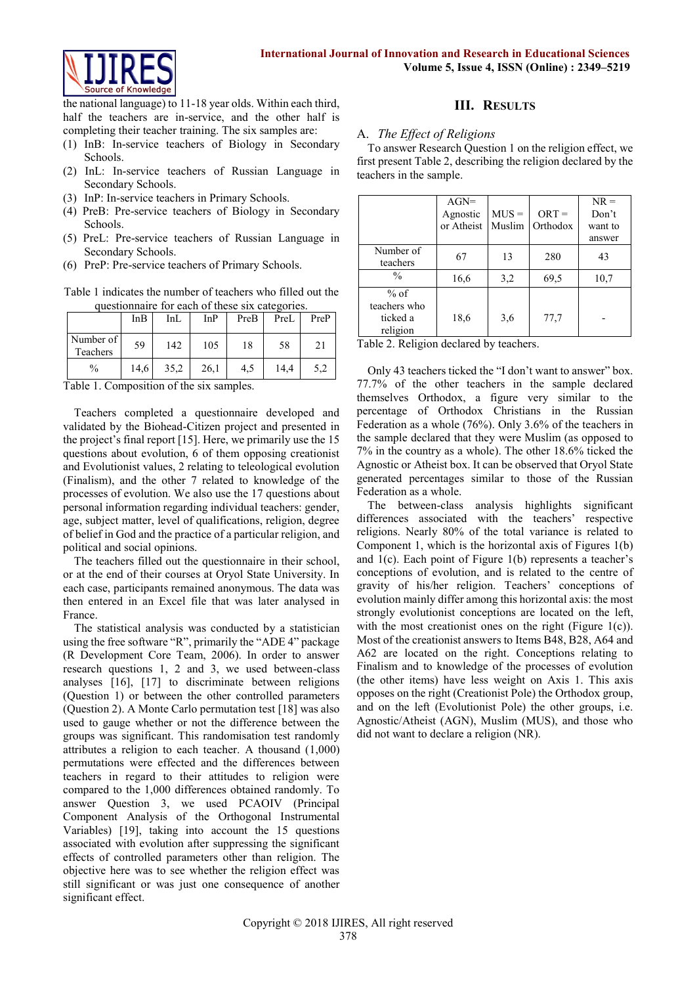

the national language) to 11-18 year olds. Within each third, half the teachers are in-service, and the other half is completing their teacher training. The six samples are:

- (1) InB: In-service teachers of Biology in Secondary Schools.
- (2) InL: In-service teachers of Russian Language in Secondary Schools.
- (3) InP: In-service teachers in Primary Schools.
- (4) PreB: Pre-service teachers of Biology in Secondary Schools.
- (5) PreL: Pre-service teachers of Russian Language in Secondary Schools.
- (6) PreP: Pre-service teachers of Primary Schools.

Table 1 indicates the number of teachers who filled out the questionnaire for each of these six categories.

| gacomonium e foi cach of mese sin calendrico. |      |      |      |      |      |      |  |  |
|-----------------------------------------------|------|------|------|------|------|------|--|--|
|                                               | InB  | InL  | InP  | PreB | PreL | PreP |  |  |
| Number of<br>Teachers                         | 59   | 142  | 105  | 18   | 58   | 21   |  |  |
| $\%$                                          | 14,6 | 35,2 | 26,1 | 4,5  | 14,4 | 5.2  |  |  |

Table 1. Composition of the six samples.

Teachers completed a questionnaire developed and validated by the Biohead-Citizen project and presented in the project's final report [15]. Here, we primarily use the 15 questions about evolution, 6 of them opposing creationist and Evolutionist values, 2 relating to teleological evolution (Finalism), and the other 7 related to knowledge of the processes of evolution. We also use the 17 questions about personal information regarding individual teachers: gender, age, subject matter, level of qualifications, religion, degree of belief in God and the practice of a particular religion, and political and social opinions.

The teachers filled out the questionnaire in their school, or at the end of their courses at Oryol State University. In each case, participants remained anonymous. The data was then entered in an Excel file that was later analysed in France.

The statistical analysis was conducted by a statistician using the free software "R", primarily the "ADE 4" package (R Development Core Team, 2006). In order to answer research questions 1, 2 and 3, we used between-class analyses [16], [17] to discriminate between religions (Question 1) or between the other controlled parameters (Question 2). A Monte Carlo permutation test [18] was also used to gauge whether or not the difference between the groups was significant. This randomisation test randomly attributes a religion to each teacher. A thousand (1,000) permutations were effected and the differences between teachers in regard to their attitudes to religion were compared to the 1,000 differences obtained randomly. To answer Question 3, we used PCAOIV (Principal Component Analysis of the Orthogonal Instrumental Variables) [19], taking into account the 15 questions associated with evolution after suppressing the significant effects of controlled parameters other than religion. The objective here was to see whether the religion effect was still significant or was just one consequence of another significant effect.

# **III. RESULTS**

# A. *The Effect of Religions*

To answer Research Question 1 on the religion effect, we first present Table 2, describing the religion declared by the teachers in the sample.

|                                                | $AGN=$<br>Agnostic<br>or Atheist | $MUS =$<br>Muslim | $ORT =$<br>Orthodox | $NR =$<br>Don't<br>want to<br>answer |
|------------------------------------------------|----------------------------------|-------------------|---------------------|--------------------------------------|
| Number of<br>teachers                          | 67                               | 13                | 280                 | 43                                   |
| $\frac{0}{0}$                                  | 16,6                             | 3,2               | 69,5                | 10,7                                 |
| $%$ of<br>teachers who<br>ticked a<br>religion | 18,6                             | 3.6               | 77,7                |                                      |

Table 2. Religion declared by teachers.

Only 43 teachers ticked the "I don't want to answer" box. 77.7% of the other teachers in the sample declared themselves Orthodox, a figure very similar to the percentage of Orthodox Christians in the Russian Federation as a whole (76%). Only 3.6% of the teachers in the sample declared that they were Muslim (as opposed to 7% in the country as a whole). The other 18.6% ticked the Agnostic or Atheist box. It can be observed that Oryol State generated percentages similar to those of the Russian Federation as a whole.

The between-class analysis highlights significant differences associated with the teachers' respective religions. Nearly 80% of the total variance is related to Component 1, which is the horizontal axis of Figures 1(b) and 1(c). Each point of Figure 1(b) represents a teacher's conceptions of evolution, and is related to the centre of gravity of his/her religion. Teachers' conceptions of evolution mainly differ among this horizontal axis: the most strongly evolutionist conceptions are located on the left, with the most creationist ones on the right (Figure 1(c)). Most of the creationist answers to Items B48, B28, A64 and A62 are located on the right. Conceptions relating to Finalism and to knowledge of the processes of evolution (the other items) have less weight on Axis 1. This axis opposes on the right (Creationist Pole) the Orthodox group, and on the left (Evolutionist Pole) the other groups, i.e. Agnostic/Atheist (AGN), Muslim (MUS), and those who did not want to declare a religion (NR).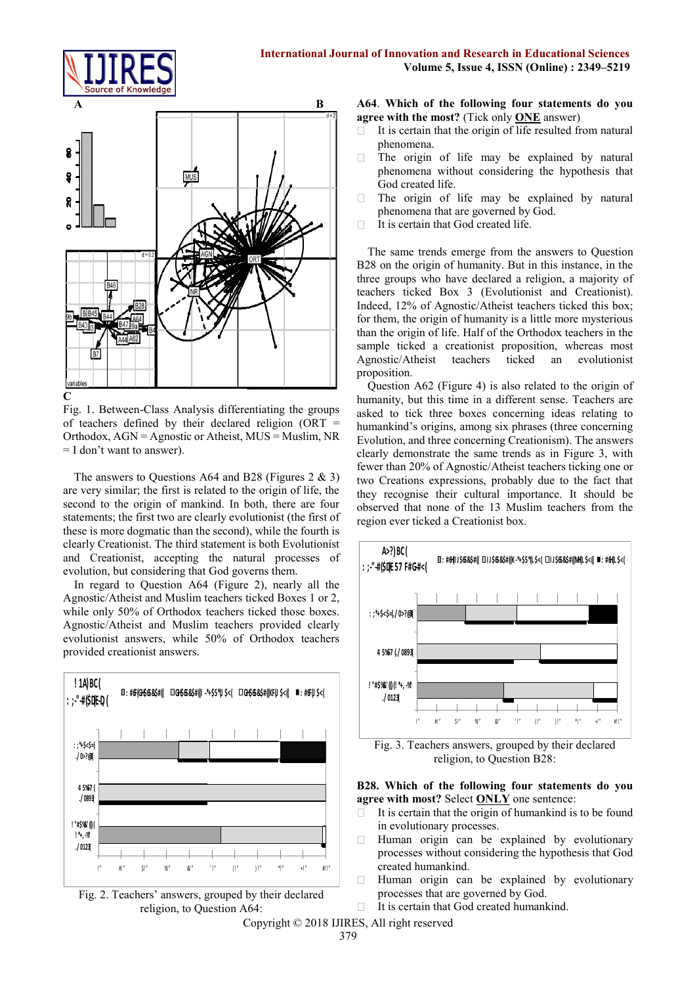



**C**

Fig. 1. Between-Class Analysis differentiating the groups of teachers defined by their declared religion ( $\text{ORT}$  = Orthodox, AGN = Agnostic or Atheist, MUS = Muslim, NR = I don't want to answer).

The answers to Questions A64 and B28 (Figures  $2 \& 3$ ) are very similar; the first is related to the origin of life, the second to the origin of mankind. In both, there are four statements; the first two are clearly evolutionist (the first of these is more dogmatic than the second), while the fourth is clearly Creationist. The third statement is both Evolutionist and Creationist, accepting the natural processes of evolution, but considering that God governs them.

In regard to Question A64 (Figure 2), nearly all the Agnostic/Atheist and Muslim teachers ticked Boxes 1 or 2, while only 50% of Orthodox teachers ticked those boxes. Agnostic/Atheist and Muslim teachers provided clearly evolutionist answers, while 50% of Orthodox teachers provided creationist answers.





**A64**. **Which of the following four statements do you agree with the most?** (Tick only **ONE** answer)

- П It is certain that the origin of life resulted from natural phenomena.
- $\Box$ The origin of life may be explained by natural phenomena without considering the hypothesis that God created life.
- $\Box$ The origin of life may be explained by natural phenomena that are governed by God.
- It is certain that God created life.  $\Box$

The same trends emerge from the answers to Question B28 on the origin of humanity. But in this instance, in the three groups who have declared a religion, a majority of teachers ticked Box 3 (Evolutionist and Creationist). Indeed, 12% of Agnostic/Atheist teachers ticked this box; for them, the origin of humanity is a little more mysterious than the origin of life. Half of the Orthodox teachers in the sample ticked a creationist proposition, whereas most Agnostic/Atheist teachers ticked an evolutionist proposition.

Question A62 (Figure 4) is also related to the origin of humanity, but this time in a different sense. Teachers are asked to tick three boxes concerning ideas relating to humankind's origins, among six phrases (three concerning Evolution, and three concerning Creationism). The answers clearly demonstrate the same trends as in Figure 3, with fewer than 20% of Agnostic/Atheist teachers ticking one or two Creations expressions, probably due to the fact that they recognise their cultural importance. It should be observed that none of the 13 Muslim teachers from the region ever ticked a Creationist box.



Fig. 3. Teachers answers, grouped by their declared religion, to Question B28:

## **B28. Which of the following four statements do you agree with most?** Select **ONLY** one sentence:

- It is certain that the origin of humankind is to be found  $\Box$ in evolutionary processes.
- Human origin can be explained by evolutionary  $\Box$ processes without considering the hypothesis that God created humankind.
- $\Box$ Human origin can be explained by evolutionary processes that are governed by God.
- It is certain that God created humankind.  $\Box$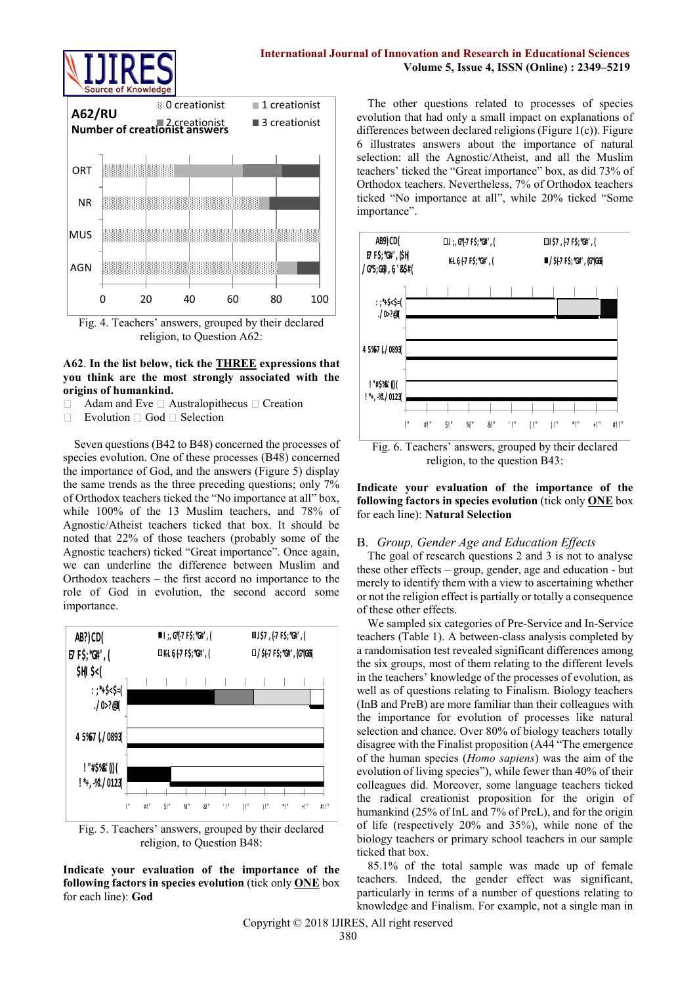

## **International Journal of Innovation and Research in Educational Sciences Volume 5, Issue 4, ISSN (Online) : 2349–5219**



Fig. 4. Teachers' answers, grouped by their declared religion, to Question A62:

# **A62**. **In the list below, tick the THREE expressions that you think are the most strongly associated with the origins of humankind.**

- Adam and Eve  $\square$  Australopithecus  $\square$  Creation
- $\Box$ Evolution  $\Box$  God  $\Box$  Selection

Seven questions (B42 to B48) concerned the processes of species evolution. One of these processes (B48) concerned the importance of God, and the answers (Figure 5) display the same trends as the three preceding questions; only 7% of Orthodox teachers ticked the "No importance at all" box, while 100% of the 13 Muslim teachers, and 78% of Agnostic/Atheist teachers ticked that box. It should be noted that 22% of those teachers (probably some of the Agnostic teachers) ticked "Great importance". Once again, we can underline the difference between Muslim and Orthodox teachers – the first accord no importance to the role of God in evolution, the second accord some importance.







The other questions related to processes of species evolution that had only a small impact on explanations of differences between declared religions (Figure 1(c)). Figure 6 illustrates answers about the importance of natural selection: all the Agnostic/Atheist, and all the Muslim teachers' ticked the "Great importance" box, as did 73% of Orthodox teachers. Nevertheless, 7% of Orthodox teachers ticked "No importance at all", while 20% ticked "Some importance".



Fig. 6. Teachers' answers, grouped by their declared religion, to the question B43:

**Indicate your evaluation of the importance of the following factors in species evolution** (tick only **ONE** box for each line): **Natural Selection**

#### B. *Group, Gender Age and Education Effects*

The goal of research questions 2 and 3 is not to analyse these other effects – group, gender, age and education - but merely to identify them with a view to ascertaining whether or not the religion effect is partially or totally a consequence of these other effects.

We sampled six categories of Pre-Service and In-Service teachers (Table 1). A between-class analysis completed by a randomisation test revealed significant differences among the six groups, most of them relating to the different levels in the teachers' knowledge of the processes of evolution, as well as of questions relating to Finalism. Biology teachers (InB and PreB) are more familiar than their colleagues with the importance for evolution of processes like natural selection and chance. Over 80% of biology teachers totally disagree with the Finalist proposition (A44 "The emergence of the human species (*Homo sapiens*) was the aim of the evolution of living species"), while fewer than 40% of their colleagues did. Moreover, some language teachers ticked the radical creationist proposition for the origin of humankind (25% of InL and 7% of PreL), and for the origin of life (respectively 20% and 35%), while none of the biology teachers or primary school teachers in our sample ticked that box.

85.1% of the total sample was made up of female teachers. Indeed, the gender effect was significant, particularly in terms of a number of questions relating to knowledge and Finalism. For example, not a single man in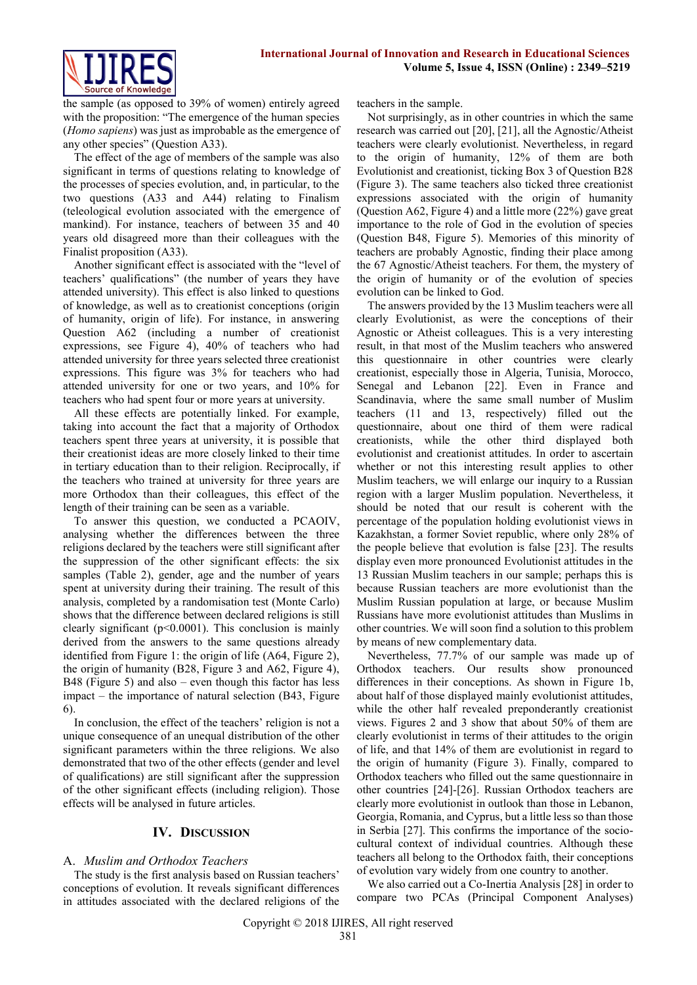

the sample (as opposed to 39% of women) entirely agreed with the proposition: "The emergence of the human species (*Homo sapiens*) was just as improbable as the emergence of any other species" (Question A33).

The effect of the age of members of the sample was also significant in terms of questions relating to knowledge of the processes of species evolution, and, in particular, to the two questions (A33 and A44) relating to Finalism (teleological evolution associated with the emergence of mankind). For instance, teachers of between 35 and 40 years old disagreed more than their colleagues with the Finalist proposition (A33).

Another significant effect is associated with the "level of teachers' qualifications" (the number of years they have attended university). This effect is also linked to questions of knowledge, as well as to creationist conceptions (origin of humanity, origin of life). For instance, in answering Question A62 (including a number of creationist expressions, see Figure 4), 40% of teachers who had attended university for three years selected three creationist expressions. This figure was 3% for teachers who had attended university for one or two years, and 10% for teachers who had spent four or more years at university.

All these effects are potentially linked. For example, taking into account the fact that a majority of Orthodox teachers spent three years at university, it is possible that their creationist ideas are more closely linked to their time in tertiary education than to their religion. Reciprocally, if the teachers who trained at university for three years are more Orthodox than their colleagues, this effect of the length of their training can be seen as a variable.

To answer this question, we conducted a PCAOIV, analysing whether the differences between the three religions declared by the teachers were still significant after the suppression of the other significant effects: the six samples (Table 2), gender, age and the number of years spent at university during their training. The result of this analysis, completed by a randomisation test (Monte Carlo) shows that the difference between declared religions is still clearly significant ( $p<0.0001$ ). This conclusion is mainly derived from the answers to the same questions already identified from Figure 1: the origin of life (A64, Figure 2), the origin of humanity (B28, Figure 3 and A62, Figure 4), B48 (Figure 5) and also – even though this factor has less impact – the importance of natural selection (B43, Figure 6).

In conclusion, the effect of the teachers' religion is not a unique consequence of an unequal distribution of the other significant parameters within the three religions. We also demonstrated that two of the other effects (gender and level of qualifications) are still significant after the suppression of the other significant effects (including religion). Those effects will be analysed in future articles.

# **IV. DISCUSSION**

# A. *Muslim and Orthodox Teachers*

The study is the first analysis based on Russian teachers' conceptions of evolution. It reveals significant differences in attitudes associated with the declared religions of the teachers in the sample.

Not surprisingly, as in other countries in which the same research was carried out [20], [21], all the Agnostic/Atheist teachers were clearly evolutionist. Nevertheless, in regard to the origin of humanity, 12% of them are both Evolutionist and creationist, ticking Box 3 of Question B28 (Figure 3). The same teachers also ticked three creationist expressions associated with the origin of humanity (Question A62, Figure 4) and a little more (22%) gave great importance to the role of God in the evolution of species (Question B48, Figure 5). Memories of this minority of teachers are probably Agnostic, finding their place among the 67 Agnostic/Atheist teachers. For them, the mystery of the origin of humanity or of the evolution of species evolution can be linked to God.

The answers provided by the 13 Muslim teachers were all clearly Evolutionist, as were the conceptions of their Agnostic or Atheist colleagues. This is a very interesting result, in that most of the Muslim teachers who answered this questionnaire in other countries were clearly creationist, especially those in Algeria, Tunisia, Morocco, Senegal and Lebanon [22]. Even in France and Scandinavia, where the same small number of Muslim teachers (11 and 13, respectively) filled out the questionnaire, about one third of them were radical creationists, while the other third displayed both evolutionist and creationist attitudes. In order to ascertain whether or not this interesting result applies to other Muslim teachers, we will enlarge our inquiry to a Russian region with a larger Muslim population. Nevertheless, it should be noted that our result is coherent with the percentage of the population holding evolutionist views in Kazakhstan, a former Soviet republic, where only 28% of the people believe that evolution is false [23]. The results display even more pronounced Evolutionist attitudes in the 13 Russian Muslim teachers in our sample; perhaps this is because Russian teachers are more evolutionist than the Muslim Russian population at large, or because Muslim Russians have more evolutionist attitudes than Muslims in other countries. We will soon find a solution to this problem by means of new complementary data.

Nevertheless, 77.7% of our sample was made up of Orthodox teachers. Our results show pronounced differences in their conceptions. As shown in Figure 1b, about half of those displayed mainly evolutionist attitudes, while the other half revealed preponderantly creationist views. Figures 2 and 3 show that about 50% of them are clearly evolutionist in terms of their attitudes to the origin of life, and that 14% of them are evolutionist in regard to the origin of humanity (Figure 3). Finally, compared to Orthodox teachers who filled out the same questionnaire in other countries [24]-[26]. Russian Orthodox teachers are clearly more evolutionist in outlook than those in Lebanon, Georgia, Romania, and Cyprus, but a little less so than those in Serbia [27]. This confirms the importance of the sociocultural context of individual countries. Although these teachers all belong to the Orthodox faith, their conceptions of evolution vary widely from one country to another.

We also carried out a Co-Inertia Analysis [28] in order to compare two PCAs (Principal Component Analyses)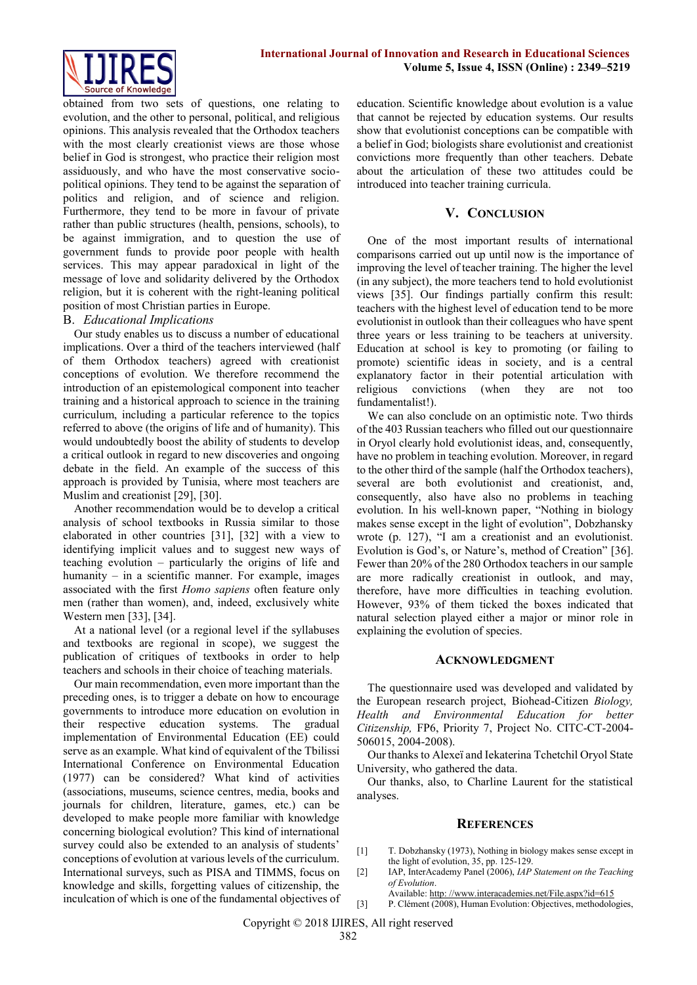

obtained from two sets of questions, one relating to evolution, and the other to personal, political, and religious opinions. This analysis revealed that the Orthodox teachers with the most clearly creationist views are those whose belief in God is strongest, who practice their religion most assiduously, and who have the most conservative sociopolitical opinions. They tend to be against the separation of politics and religion, and of science and religion. Furthermore, they tend to be more in favour of private rather than public structures (health, pensions, schools), to be against immigration, and to question the use of government funds to provide poor people with health services. This may appear paradoxical in light of the message of love and solidarity delivered by the Orthodox religion, but it is coherent with the right-leaning political position of most Christian parties in Europe.

#### B. *Educational Implications*

Our study enables us to discuss a number of educational implications. Over a third of the teachers interviewed (half of them Orthodox teachers) agreed with creationist conceptions of evolution. We therefore recommend the introduction of an epistemological component into teacher training and a historical approach to science in the training curriculum, including a particular reference to the topics referred to above (the origins of life and of humanity). This would undoubtedly boost the ability of students to develop a critical outlook in regard to new discoveries and ongoing debate in the field. An example of the success of this approach is provided by Tunisia, where most teachers are Muslim and creationist [29], [30].

Another recommendation would be to develop a critical analysis of school textbooks in Russia similar to those elaborated in other countries [31], [32] with a view to identifying implicit values and to suggest new ways of teaching evolution – particularly the origins of life and humanity – in a scientific manner. For example, images associated with the first *Homo sapiens* often feature only men (rather than women), and, indeed, exclusively white Western men [33], [34].

At a national level (or a regional level if the syllabuses and textbooks are regional in scope), we suggest the publication of critiques of textbooks in order to help teachers and schools in their choice of teaching materials.

Our main recommendation, even more important than the preceding ones, is to trigger a debate on how to encourage governments to introduce more education on evolution in their respective education systems. The gradual implementation of Environmental Education (EE) could serve as an example. What kind of equivalent of the Tbilissi International Conference on Environmental Education (1977) can be considered? What kind of activities (associations, museums, science centres, media, books and journals for children, literature, games, etc.) can be developed to make people more familiar with knowledge concerning biological evolution? This kind of international survey could also be extended to an analysis of students' conceptions of evolution at various levels of the curriculum. International surveys, such as PISA and TIMMS, focus on knowledge and skills, forgetting values of citizenship, the inculcation of which is one of the fundamental objectives of education. Scientific knowledge about evolution is a value that cannot be rejected by education systems. Our results show that evolutionist conceptions can be compatible with a belief in God; biologists share evolutionist and creationist convictions more frequently than other teachers. Debate about the articulation of these two attitudes could be introduced into teacher training curricula.

## **V. CONCLUSION**

One of the most important results of international comparisons carried out up until now is the importance of improving the level of teacher training. The higher the level (in any subject), the more teachers tend to hold evolutionist views [35]. Our findings partially confirm this result: teachers with the highest level of education tend to be more evolutionist in outlook than their colleagues who have spent three years or less training to be teachers at university. Education at school is key to promoting (or failing to promote) scientific ideas in society, and is a central explanatory factor in their potential articulation with religious convictions (when they are not too fundamentalist!).

We can also conclude on an optimistic note. Two thirds of the 403 Russian teachers who filled out our questionnaire in Oryol clearly hold evolutionist ideas, and, consequently, have no problem in teaching evolution. Moreover, in regard to the other third of the sample (half the Orthodox teachers), several are both evolutionist and creationist, and, consequently, also have also no problems in teaching evolution. In his well-known paper, "Nothing in biology makes sense except in the light of evolution", Dobzhansky wrote (p. 127), "I am a creationist and an evolutionist. Evolution is God's, or Nature's, method of Creation" [36]. Fewer than 20% of the 280 Orthodox teachers in our sample are more radically creationist in outlook, and may, therefore, have more difficulties in teaching evolution. However, 93% of them ticked the boxes indicated that natural selection played either a major or minor role in explaining the evolution of species.

#### **ACKNOWLEDGMENT**

The questionnaire used was developed and validated by the European research project, Biohead-Citizen *Biology, Health and Environmental Education for better Citizenship,* FP6, Priority 7, Project No. CITC-CT-2004- 506015, 2004-2008).

Our thanks to Alexeï and Iekaterina Tchetchil Oryol State University, who gathered the data.

Our thanks, also, to Charline Laurent for the statistical analyses.

### **REFERENCES**

- [1] T. Dobzhansky (1973), Nothing in biology makes sense except in the light of evolution, 35, pp. 125-129.
- [2] IAP, InterAcademy Panel (2006), *IAP Statement on the Teaching of Evolution*.
	- Available: http: [//www.interacademies.net/File.aspx?id=615](http://www.interacademies.net/File.aspx?id=615)
- [3] P. Clément (2008), Human Evolution: Objectives, methodologies,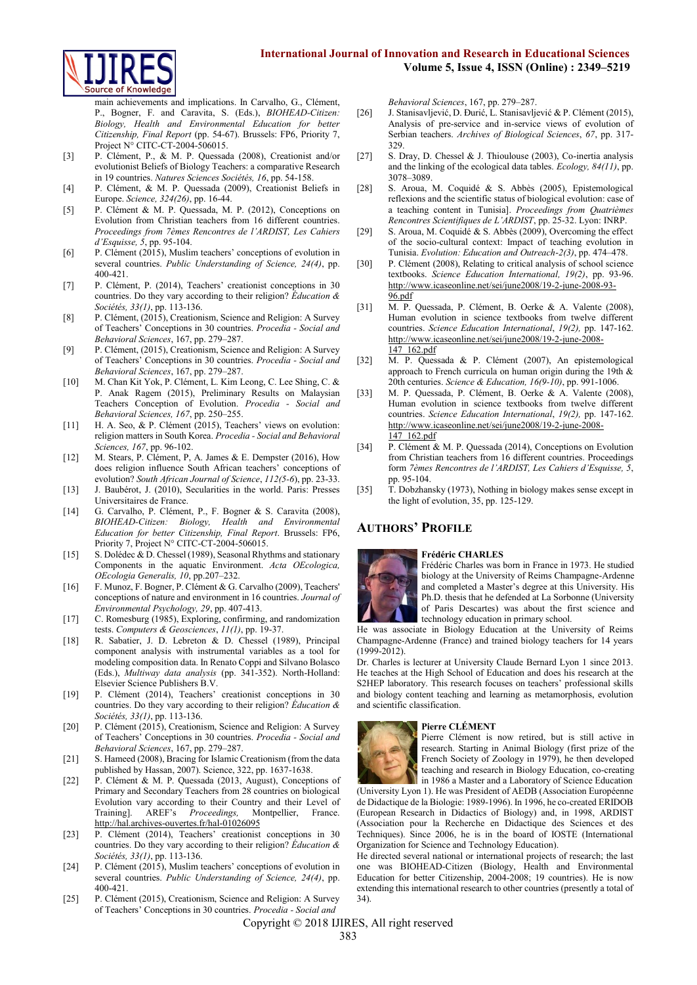

main achievements and implications. In Carvalho, G., Clément, P., Bogner, F. and Caravita, S. (Eds.), *BIOHEAD-Citizen: Biology, Health and Environmental Education for better Citizenship, Final Report* (pp. 54-67). Brussels: FP6, Priority 7, Project N° CITC-CT-2004-506015.

- [3] P. Clément, P., & M. P. Quessada (2008), Creationist and/or evolutionist Beliefs of Biology Teachers: a comparative Research in 19 countries. *Natures Sciences Sociétés, 16*, pp. 54-158.
- [4] P. Clément, & M. P. Quessada (2009), Creationist Beliefs in Europe. *Science, 324(26)*, pp. 16-44.
- [5] P. Clément & M. P. Quessada, M. P. (2012), Conceptions on Evolution from Christian teachers from 16 different countries. *Proceedings from 7èmes Rencontres de l'ARDIST, Les Cahiers d'Esquisse, 5*, pp. 95-104.
- [6] P. Clément (2015), Muslim teachers' conceptions of evolution in several countries. *Public Understanding of Science, 24(4)*, pp. 400-421.
- [7] P. Clément, P. (2014), Teachers' creationist conceptions in 30 countries. Do they vary according to their religion? *Éducation & Sociétés, 33(1)*, pp. 113-136.
- [8] P. Clément, (2015), Creationism, Science and Religion: A Survey of Teachers' Conceptions in 30 countries. *Procedia - Social and Behavioral Sciences*, 167, pp. 279–287.
- [9] P. Clément, (2015), Creationism, Science and Religion: A Survey of Teachers' Conceptions in 30 countries. *Procedia - Social and Behavioral Sciences*, 167, pp. 279–287.
- [10] M. Chan Kit Yok, P. Clément, L. Kim Leong, C. Lee Shing, C. & P. Anak Ragem (2015), Preliminary Results on Malaysian Teachers Conception of Evolution. *Procedia - Social and Behavioral Sciences, 167*, pp. 250–255.
- [11] H. A. Seo, & P. Clément (2015), Teachers' views on evolution: religion matters in South Korea. *Procedia - Social and Behavioral Sciences, 167*, pp. 96-102.
- [12] M. Stears, P. Clément, P, A. James & E. Dempster (2016), How does religion influence South African teachers' conceptions of evolution? *South African Journal of Science*, *112(5-6*), pp. 23-33.
- [13] J. Baubérot, J. (2010), Secularities in the world. Paris: Presses Universitaires de France.
- [14] G. Carvalho, P. Clément, P., F. Bogner & S. Caravita (2008), *BIOHEAD-Citizen: Biology, Health and Environmental Education for better Citizenship, Final Report*. Brussels: FP6, Priority 7, Project N° CITC-CT-2004-506015.
- [15] S. Dolédec & D. Chessel (1989), Seasonal Rhythms and stationary Components in the aquatic Environment. *Acta OEcologica, OEcologia Generalis, 10*, pp.207–232.
- [16] F. Munoz, F. Bogner, P. Clément & G. Carvalho (2009), Teachers' conceptions of nature and environment in 16 countries. *Journal of Environmental Psychology, 29*, pp. 407-413.
- [17] C. Romesburg (1985), Exploring, confirming, and randomization tests. *Computers & Geosciences*, *11(1)*, pp. 19-37.
- [18] R. Sabatier, J. D. Lebreton & D. Chessel (1989), Principal component analysis with instrumental variables as a tool for modeling composition data. In Renato Coppi and Silvano Bolasco (Eds.), *Multiway data analysis* (pp. 341-352). North-Holland: Elsevier Science Publishers B.V.
- [19] P. Clément (2014), Teachers' creationist conceptions in 30 countries. Do they vary according to their religion? *Éducation & Sociétés, 33(1)*, pp. 113-136.
- [20] P. Clément (2015), Creationism, Science and Religion: A Survey of Teachers' Conceptions in 30 countries. *Procedia - Social and Behavioral Sciences*, 167, pp. 279–287.
- [21] S. Hameed (2008), Bracing for Islamic Creationism (from the data published by Hassan, 2007). Science, 322, pp. 1637-1638.
- [22] P. Clément & M. P. Quessada (2013, August), Conceptions of Primary and Secondary Teachers from 28 countries on biological Evolution vary according to their Country and their Level of Training]. AREF's *Proceedings,* Montpellier, France. <http://hal.archives-ouvertes.fr/hal-01026095>
- [23] P. Clément (2014), Teachers' creationist conceptions in 30 countries. Do they vary according to their religion? *Éducation & Sociétés, 33(1)*, pp. 113-136.
- [24] P. Clément (2015), Muslim teachers' conceptions of evolution in several countries. *Public Understanding of Science, 24(4)*, pp. 400-421.
- [25] P. Clément (2015), Creationism, Science and Religion: A Survey of Teachers' Conceptions in 30 countries. *Procedia - Social and*

*Behavioral Sciences*, 167, pp. 279–287.

- [26] J. Stanisavljević, D. Đurić, L. Stanisavljević & P. Clément (2015), Analysis of pre-service and in-service views of evolution of Serbian teachers. *Archives of Biological Sciences*, *67*, pp. 317- 329.
- [27] S. Dray, D. Chessel & J. Thioulouse (2003), Co-inertia analysis and the linking of the ecological data tables. *Ecology, 84(11)*, pp. 3078–3089.
- [28] S. Aroua, M. Coquidé & S. Abbès (2005), Epistemological reflexions and the scientific status of biological evolution: case of a teaching content in Tunisia]. *Proceedings from Quatrièmes Rencontres Scientifiques de L'ARDIST*, pp. 25-32. Lyon: INRP.
- [29] S. Aroua, M. Coquidé & S. Abbès (2009), Overcoming the effect of the socio-cultural context: Impact of teaching evolution in Tunisia. *Evolution: Education and Outreach*-*2(3)*, pp. 474–478.
- [30] P. Clément (2008), Relating to critical analysis of school science textbooks. *Science Education International, 19(2)*, pp. 93-96. [http://www.icaseonline.net/sei/june2008/19-2-june-2008-93-](http://www.icaseonline.net/sei/june2008/19-2-june-2008-93-96.pdf) [96.pdf](http://www.icaseonline.net/sei/june2008/19-2-june-2008-93-96.pdf)
- [31] M. P. Quessada, P. Clément, B. Oerke & A. Valente (2008), Human evolution in science textbooks from twelve different countries. *Science Education International*, *19(2),* pp. 147-162. [http://www.icaseonline.net/sei/june2008/19-2-june-2008-](http://www.icaseonline.net/sei/june2008/19-2-june-2008-147_162.pdf) [147\\_162.pdf](http://www.icaseonline.net/sei/june2008/19-2-june-2008-147_162.pdf)
- [32] M. P. Quessada & P. Clément (2007), An epistemological approach to French curricula on human origin during the 19th & 20th centuries. *Science & Education, 16(9-10)*, pp. 991-1006.
- [33] M. P. Quessada, P. Clément, B. Oerke & A. Valente (2008), Human evolution in science textbooks from twelve different countries. *Science Education International*, *19(2),* pp. 147-162. [http://www.icaseonline.net/sei/june2008/19-2-june-2008-](http://www.icaseonline.net/sei/june2008/19-2-june-2008-147_162.pdf) [147\\_162.pdf](http://www.icaseonline.net/sei/june2008/19-2-june-2008-147_162.pdf)
- [34] P. Clément & M. P. Quessada (2014), Conceptions on Evolution from Christian teachers from 16 different countries. Proceedings form *7èmes Rencontres de l'ARDIST, Les Cahiers d'Esquisse, 5*, pp. 95-104.
- [35] T. Dobzhansky (1973), Nothing in biology makes sense except in the light of evolution, 35, pp. 125-129.

# **AUTHORS' PROFILE**



#### **Frédéric CHARLES**

Frédéric Charles was born in France in 1973. He studied biology at the University of Reims Champagne-Ardenne and completed a Master's degree at this University. His Ph.D. thesis that he defended at La Sorbonne (University of Paris Descartes) was about the first science and technology education in primary school.

He was associate in Biology Education at the University of Reims Champagne-Ardenne (France) and trained biology teachers for 14 years (1999-2012).

Dr. Charles is lecturer at University Claude Bernard Lyon 1 since 2013. He teaches at the High School of Education and does his research at the S2HEP laboratory. This research focuses on teachers' professional skills and biology content teaching and learning as metamorphosis, evolution and scientific classification.

### **Pierre CLÉMENT**



Pierre Clément is now retired, but is still active in research. Starting in Animal Biology (first prize of the French Society of Zoology in 1979), he then developed teaching and research in Biology Education, co-creating in 1986 a Master and a Laboratory of Science Education

(University Lyon 1). He was President of AEDB (Association Européenne de Didactique de la Biologie: 1989-1996). In 1996, he co-created ERIDOB (European Research in Didactics of Biology) and, in 1998, ARDIST (Association pour la Recherche en Didactique des Sciences et des Techniques). Since 2006, he is in the board of IOSTE (International Organization for Science and Technology Education).

He directed several national or international projects of research; the last one was BIOHEAD-Citizen (Biology, Health and Environmental Education for better Citizenship, 2004-2008; 19 countries). He is now extending this international research to other countries (presently a total of 34).

Copyright © 2018 IJIRES, All right reserved